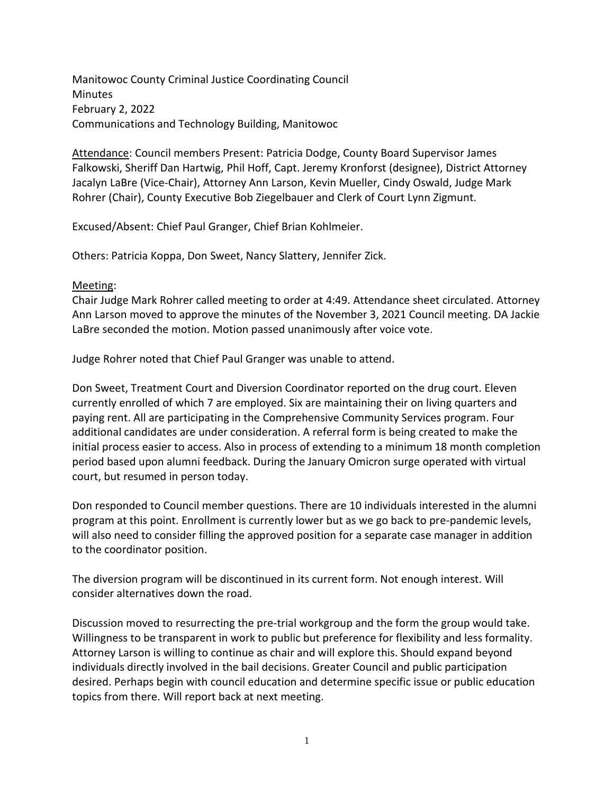Manitowoc County Criminal Justice Coordinating Council Minutes February 2, 2022 Communications and Technology Building, Manitowoc

Attendance: Council members Present: Patricia Dodge, County Board Supervisor James Falkowski, Sheriff Dan Hartwig, Phil Hoff, Capt. Jeremy Kronforst (designee), District Attorney Jacalyn LaBre (Vice-Chair), Attorney Ann Larson, Kevin Mueller, Cindy Oswald, Judge Mark Rohrer (Chair), County Executive Bob Ziegelbauer and Clerk of Court Lynn Zigmunt.

Excused/Absent: Chief Paul Granger, Chief Brian Kohlmeier.

Others: Patricia Koppa, Don Sweet, Nancy Slattery, Jennifer Zick.

## Meeting:

Chair Judge Mark Rohrer called meeting to order at 4:49. Attendance sheet circulated. Attorney Ann Larson moved to approve the minutes of the November 3, 2021 Council meeting. DA Jackie LaBre seconded the motion. Motion passed unanimously after voice vote.

Judge Rohrer noted that Chief Paul Granger was unable to attend.

Don Sweet, Treatment Court and Diversion Coordinator reported on the drug court. Eleven currently enrolled of which 7 are employed. Six are maintaining their on living quarters and paying rent. All are participating in the Comprehensive Community Services program. Four additional candidates are under consideration. A referral form is being created to make the initial process easier to access. Also in process of extending to a minimum 18 month completion period based upon alumni feedback. During the January Omicron surge operated with virtual court, but resumed in person today.

Don responded to Council member questions. There are 10 individuals interested in the alumni program at this point. Enrollment is currently lower but as we go back to pre-pandemic levels, will also need to consider filling the approved position for a separate case manager in addition to the coordinator position.

The diversion program will be discontinued in its current form. Not enough interest. Will consider alternatives down the road.

Discussion moved to resurrecting the pre-trial workgroup and the form the group would take. Willingness to be transparent in work to public but preference for flexibility and less formality. Attorney Larson is willing to continue as chair and will explore this. Should expand beyond individuals directly involved in the bail decisions. Greater Council and public participation desired. Perhaps begin with council education and determine specific issue or public education topics from there. Will report back at next meeting.